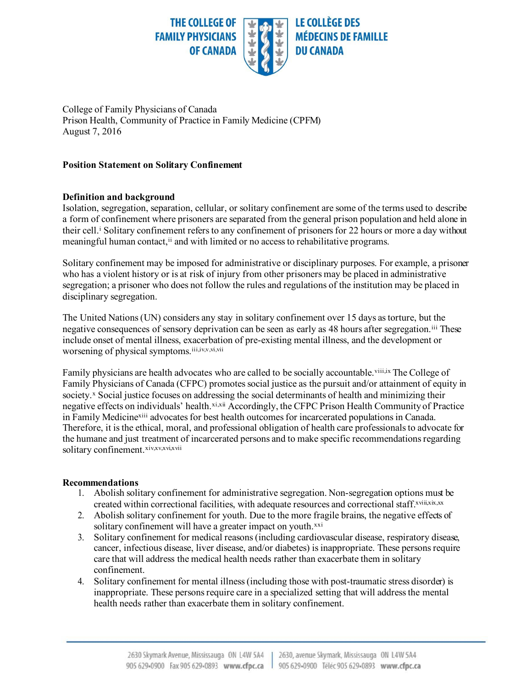

College of Family Physicians of Canada Prison Health, Community of Practice in Family Medicine (CPFM) August 7, 2016

## **Position Statement on Solitary Confinement**

## **Definition and background**

Isolation, segregation, separation, cellular, or solitary confinement are some of the terms used to describe a form of confinement where prisoners are separated from the general prison population and held alone in their cell.<sup>i</sup> Solitary confinement refers to any confinement of prisoners for 22 hours or more a day without meaningful human contact,<sup>ii</sup> and with limited or no access to rehabilitative programs.

Solitary confinement may be imposed for administrative or disciplinary purposes. For example, a prisoner who has a violent history or is at risk of injury from other prisoners may be placed in administrative segregation; a prisoner who does not follow the rules and regulations of the institution may be placed in disciplinary segregation.

The United Nations (UN) considers any stay in solitary confinement over 15 days as torture, but the negative consequences of sensory deprivation can be seen as early as 48 hours after segregation.iii These include onset of mental illness, exacerbation of pre-existing mental illness, and the development or worsening of physical symptoms.<sup>iii,iv,v,vi,vii</sup>

Family physicians are health advocates who are called to be socially accountable. Viii, ix The College of Family Physicians of Canada (CFPC) promotes social justice as the pursuit and/or attainment of equity in society.<sup>x</sup> Social justice focuses on addressing the social determinants of health and minimizing their negative effects on individuals' health.xi,xii Accordingly, the CFPC Prison Health Community of Practice in Family Medicine<sup>xiii</sup> advocates for best health outcomes for incarcerated populations in Canada. Therefore, it is the ethical, moral, and professional obligation of health care professionals to advocate for the humane and just treatment of incarcerated persons and to make specific recommendations regarding solitary confinement.xiv,xv,xvi,xvii

## **Recommendations**

- 1. Abolish solitary confinement for administrative segregation. Non-segregation options must be created within correctional facilities, with adequate resources and correctional staff.xviii,xix,xx
- 2. Abolish solitary confinement for youth. Due to the more fragile brains, the negative effects of solitary confinement will have a greater impact on youth.<sup>xxi</sup>
- 3. Solitary confinement for medical reasons (including cardiovascular disease, respiratory disease, cancer, infectious disease, liver disease, and/or diabetes) is inappropriate. These persons require care that will address the medical health needs rather than exacerbate them in solitary confinement.
- 4. Solitary confinement for mental illness (including those with post-traumatic stress disorder) is inappropriate. These persons require care in a specialized setting that will address the mental health needs rather than exacerbate them in solitary confinement.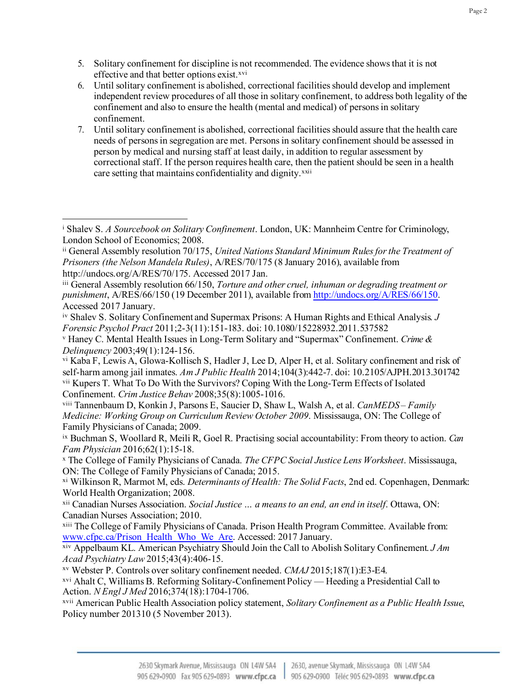- 5. Solitary confinement for discipline is not recommended. The evidence shows that it is not effective and that better options exist.<sup>xvi</sup>
- 6. Until solitary confinement is abolished, correctional facilities should develop and implement independent review procedures of all those in solitary confinement, to address both legality of the confinement and also to ensure the health (mental and medical) of persons in solitary confinement.
- 7. Until solitary confinement is abolished, correctional facilities should assure that the health care needs of persons in segregation are met. Persons in solitary confinement should be assessed in person by medical and nursing staff at least daily, in addition to regular assessment by correctional staff. If the person requires health care, then the patient should be seen in a health care setting that maintains confidentiality and dignity.<sup>xxii</sup>

<sup>v</sup> Haney C. Mental Health Issues in Long-Term Solitary and "Supermax" Confinement. *Crime & Delinquency* 2003;49(1):124-156.

<sup>i</sup> Shalev S. *A Sourcebook on Solitary Confinement*. London, UK: Mannheim Centre for Criminology, London School of Economics; 2008.

ii General Assembly resolution 70/175, *United Nations Standard Minimum Rules for the Treatment of Prisoners (the Nelson Mandela Rules)*, A/RES/70/175 (8 January 2016), available from [http://undocs.org/A/RES/70/175.](http://undocs.org/A/RES/70/175) Accessed 2017 Jan.

iii General Assembly resolution 66/150, *Torture and other cruel, inhuman or degrading treatment or punishment*, A/RES/66/150 (19 December 2011), available fro[m http://undocs.org/A/RES/66/150](http://undocs.org/A/RES/66/150). Accessed 2017 January.

iv Shalev S. Solitary Confinement and Supermax Prisons: A Human Rights and Ethical Analysis. *J Forensic Psychol Pract* 2011;2-3(11):151-183. doi: 10.1080/15228932.2011.537582

vi Kaba F, Lewis A, Glowa-Kollisch S, Hadler J, Lee D, Alper H, et al. Solitary confinement and risk of self-harm among jail inmates. *Am J Public Health* 2014;104(3):442-7. doi: 10.2105/AJPH.2013.301742 vii Kupers T. What To Do With the Survivors? Coping With the Long-Term Effects of Isolated Confinement. *Crim Justice Behav* 2008;35(8):1005-1016.

viii Tannenbaum D, Konkin J, Parsons E, Saucier D, Shaw L, Walsh A, et al. *CanMEDS – Family Medicine: Working Group on Curriculum Review October 2009*. Mississauga, ON: The College of Family Physicians of Canada; 2009.

ix Buchman S, Woollard R, Meili R, Goel R. Practising social accountability: From theory to action. *Can Fam Physician* 2016;62(1):15-18.

<sup>x</sup> The College of Family Physicians of Canada. *The CFPC Social Justice Lens Worksheet*. Mississauga, ON: The College of Family Physicians of Canada; 2015.

xi Wilkinson R, Marmot M, eds. *Determinants of Health: The Solid Facts*, 2nd ed. Copenhagen, Denmark: World Health Organization; 2008.

xii Canadian Nurses Association. *Social Justice … a means to an end, an end in itself*. Ottawa, ON: Canadian Nurses Association; 2010.

xiii The College of Family Physicians of Canada. Prison Health Program Committee. Available from: [www.cfpc.ca/Prison\\_Health\\_Who\\_We\\_Are](http://www.cfpc.ca/Prison_Health_Who_We_Are). Accessed: 2017 January.

xiv Appelbaum KL. American Psychiatry Should Join the Call to Abolish Solitary Confinement. *J Am Acad Psychiatry Law* 2015;43(4):406-15.

xv Webster P. Controls over solitary confinement needed. *CMAJ* 2015;187(1):E3-E4.

xvi Ahalt C, Williams B. Reforming Solitary-Confinement Policy — Heeding a Presidential Call to Action. *N Engl J Med* 2016;374(18):1704-1706.

xvii American Public Health Association policy statement, *Solitary Confinement as a Public Health Issue*, Policy number 201310 (5 November 2013).